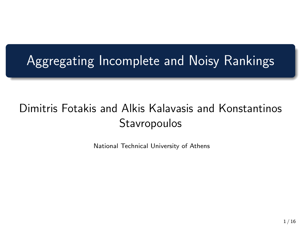## Aggregating Incomplete and Noisy Rankings

### Dimitris Fotakis and Alkis Kalavasis and Konstantinos **Stavropoulos**

National Technical University of Athens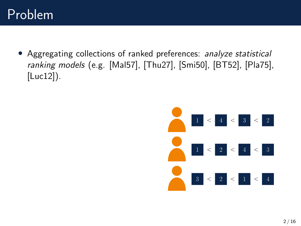• Aggregating collections of ranked preferences: analyze statistical ranking models (e.g. [\[Mal57\]](#page-11-0), [\[Thu27\]](#page-14-0), [\[Smi50\]](#page-12-0), [\[BT52\]](#page-12-1), [\[Pla75\]](#page-12-2), [\[Luc12\]](#page-13-0)).

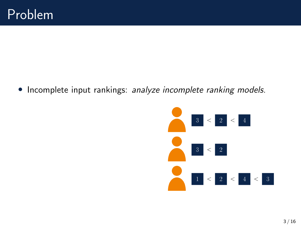• Incomplete input rankings: analyze incomplete ranking models.

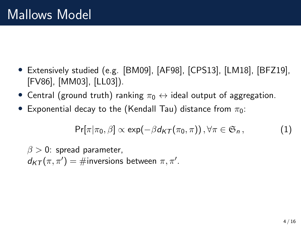- Extensively studied (e.g. [\[BM09\]](#page-11-1), [\[AF98\]](#page-14-1), [\[CPS13\]](#page-11-2), [\[LM18\]](#page-14-2), [\[BFZ19\]](#page-13-1), [\[FV86\]](#page-11-3), [\[MM03\]](#page-12-3), [\[LL03\]](#page-13-2)).
- Central (ground truth) ranking  $\pi_0 \leftrightarrow$  ideal output of aggregation.
- Exponential decay to the (Kendall Tau) distance from  $\pi_0$ :

$$
\Pr[\pi|\pi_0, \beta] \propto \exp(-\beta d_{\mathcal{K} \mathcal{T}}(\pi_0, \pi)), \forall \pi \in \mathfrak{S}_n, \tag{1}
$$

 $\beta > 0$ : spread parameter,  $d_{KT}(\pi, \pi') = \text{\#inversions between} \pi, \pi'.$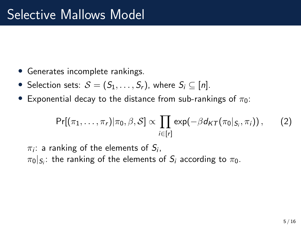- Generates incomplete rankings.
- Selection sets:  $S = (S_1, \ldots, S_r)$ , where  $S_i \subseteq [n]$ .
- Exponential decay to the distance from sub-rankings of  $\pi_0$ :

$$
\Pr[(\pi_1,\ldots,\pi_r)|\pi_0,\beta,\mathcal{S}] \propto \prod_{i\in[r]} \exp(-\beta d_{\mathcal{KT}}(\pi_0|_{S_i},\pi_i)), \qquad (2)
$$

 $\pi_i$ : a ranking of the elements of  $S_i$ ,  $\pi_0|_{\mathcal{S}_i}$ : the ranking of the elements of  $\mathcal{S}_i$  according to  $\pi_0.$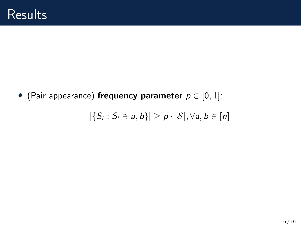• (Pair appearance) frequency parameter  $p \in [0, 1]$ :

$$
|\{S_i: S_i \ni a, b\}| \geq p \cdot |\mathcal{S}|, \forall a, b \in [n]
$$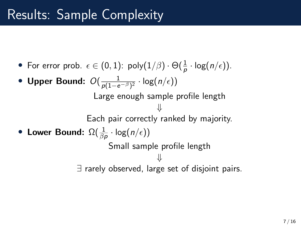## Results: Sample Complexity

• For error prob.  $\epsilon \in (0,1)$ : poly $(1/\beta) \cdot \Theta(\frac{1}{\rho} \cdot \log(n/\epsilon)).$ 

• Upper Bound:  $O(\frac{1}{\rho(1-e^{-\beta})^2}\cdot \log(n/\epsilon))$ Large enough sample profile length ⇓ Each pair correctly ranked by majority. • Lower Bound:  $\Omega(\frac{1}{\beta \rho} \cdot \log(n/\epsilon))$ Small sample profile length ⇓ ∃ rarely observed, large set of disjoint pairs.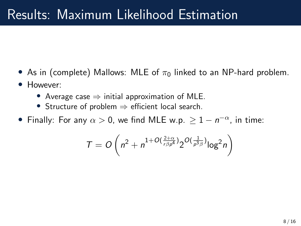## Results: Maximum Likelihood Estimation

- As in (complete) Mallows: MLE of  $\pi_0$  linked to an NP-hard problem.
- However:
	- Average case  $\Rightarrow$  initial approximation of MLE.
	- Structure of problem ⇒ efficient local search.
- Finally: For any  $\alpha > 0$ , we find MLE w.p.  $\geq 1 n^{-\alpha}$ , in time:

$$
T = O\left(n^2 + n^{1+O(\frac{2+\alpha}{r\beta\rho^4})}2^{O(\frac{1}{\rho^3\beta})}log^2 n\right)
$$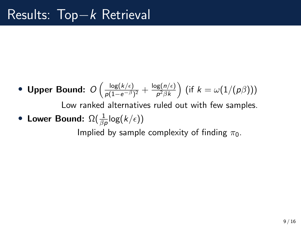• Upper Bound:  $O\left(\frac{\log(k/\epsilon)}{p(1-e^{-\beta})}\right)$  $\frac{\log(k/\epsilon)}{\rho(1-e^{-\beta})^2} + \frac{\log(n/\epsilon)}{\rho^2 \beta k}$  $\frac{\log(n/\epsilon)}{p^2\beta k}\Big)$  (if  $k=\omega(1/(\rho\beta)))$ Low ranked alternatives ruled out with few samples. • Lower Bound:  $\Omega(\frac{1}{\beta \rho} \mathsf{log}(k/\epsilon))$ 

Implied by sample complexity of finding  $\pi_0$ .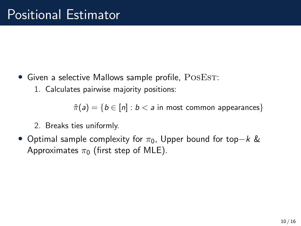- Given a selective Mallows sample profile,  $\text{PosEST:}$ 
	- 1. Calculates pairwise majority positions:

 $\hat{\pi}(a) = \{b \in [n] : b < a \text{ in most common appearances}\}\$ 

- 2. Breaks ties uniformly.
- Optimal sample complexity for  $\pi_0$ , Upper bound for top−k & Approximates  $\pi_0$  (first step of MLE).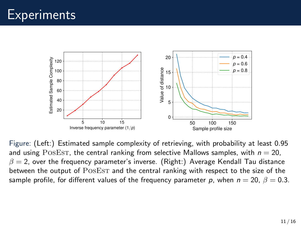

Figure: (Left:) Estimated sample complexity of retrieving, with probability at least 0.95 and using POSEST, the central ranking from selective Mallows samples, with  $n = 20$ ,  $\beta = 2$ , over the frequency parameter's inverse. (Right:) Average Kendall Tau distance between the output of POSEST and the central ranking with respect to the size of the sample profile, for different values of the frequency parameter p, when  $n = 20$ ,  $\beta = 0.3$ .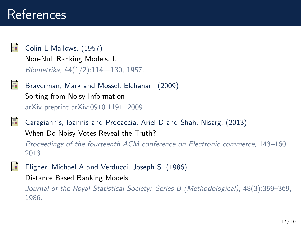<span id="page-11-0"></span>

Colin L Mallows. (1957)

Non-Null Ranking Models. I. Biometrika, 44(1/2):114—130, 1957.

<span id="page-11-1"></span>

Braverman, Mark and Mossel, Elchanan. (2009) Sorting from Noisy Information arXiv preprint arXiv:0910.1191, 2009.

<span id="page-11-2"></span>

Caragiannis, Ioannis and Procaccia, Ariel D and Shah, Nisarg. (2013) When Do Noisy Votes Reveal the Truth? Proceedings of the fourteenth ACM conference on Electronic commerce, 143–160, 2013.

<span id="page-11-3"></span>

Fligner, Michael A and Verducci, Joseph S. (1986)

Distance Based Ranking Models

Journal of the Royal Statistical Society: Series B (Methodological), 48(3):359–369, 1986.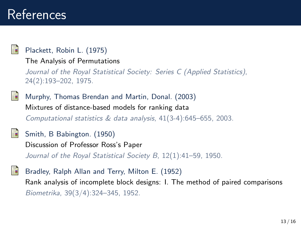### <span id="page-12-2"></span>Plackett, Robin L. (1975)

The Analysis of Permutations

Journal of the Royal Statistical Society: Series C (Applied Statistics), 24(2):193–202, 1975.

<span id="page-12-3"></span>

Murphy, Thomas Brendan and Martin, Donal. (2003) Mixtures of distance-based models for ranking data Computational statistics & data analysis, 41(3-4):645–655, 2003.

<span id="page-12-0"></span>

Smith, B Babington. (1950)

Discussion of Professor Ross's Paper

Journal of the Royal Statistical Society B, 12(1):41-59, 1950.

<span id="page-12-1"></span>Bradley, Ralph Allan and Terry, Milton E. (1952) Rank analysis of incomplete block designs: I. The method of paired comparisons Biometrika, 39(3/4):324–345, 1952.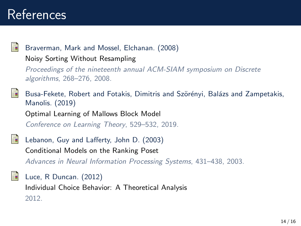### Braverman, Mark and Mossel, Elchanan. (2008)

Noisy Sorting Without Resampling

Proceedings of the nineteenth annual ACM-SIAM symposium on Discrete algorithms, 268–276, 2008.

<span id="page-13-1"></span>

Busa-Fekete, Robert and Fotakis, Dimitris and Szörényi, Balázs and Zampetakis, Manolis. (2019)

Optimal Learning of Mallows Block Model Conference on Learning Theory, 529–532, 2019.

<span id="page-13-2"></span>

Lebanon, Guy and Lafferty, John D. (2003) Conditional Models on the Ranking Poset Advances in Neural Information Processing Systems, 431–438, 2003.

<span id="page-13-0"></span>Luce, R Duncan. (2012) Individual Choice Behavior: A Theoretical Analysis 2012.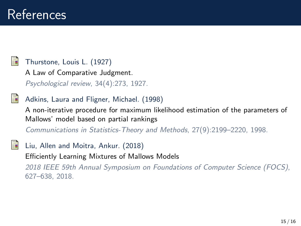### <span id="page-14-0"></span>Thurstone, Louis L. (1927)

A Law of Comparative Judgment.

Psychological review, 34(4):273, 1927.

<span id="page-14-1"></span>

### Adkins, Laura and Fligner, Michael. (1998)

A non-iterative procedure for maximum likelihood estimation of the parameters of Mallows' model based on partial rankings

Communications in Statistics-Theory and Methods, 27(9):2199–2220, 1998.

<span id="page-14-2"></span>Liu, Allen and Moitra, Ankur. (2018) Efficiently Learning Mixtures of Mallows Models 2018 IEEE 59th Annual Symposium on Foundations of Computer Science (FOCS), 627–638, 2018.